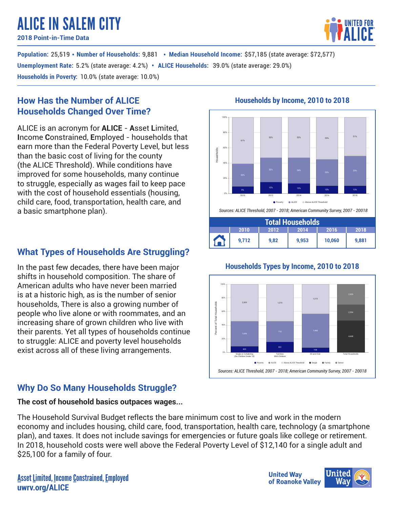# ALICE IN SALEM CITY

**2018 Point-in-Time Data**

**Population:** 25,519 • Number of Households: 9,881 • Median Household Income: \$57,185 (state average: \$72,577) **Unemployment Rate**: 5.2% (state average: 4.2%) • ALICE Households: 39.0% (state average: 29.0%) **Households in Poverty:** 10.0% (state average: 10.0%)

## **How Has the Number of ALICE Households Changed Over Time?**

ALICE is an acronym for **ALICE** - **A**sset **L**imited, **I**ncome **C**onstrained, **E**mployed - households that earn more than the Federal Poverty Level, but less than the basic cost of living for the county (the ALICE Threshold). While conditions have improved for some households, many continue to struggle, especially as wages fail to keep pace with the cost of household essentials (housing, child care, food, transportation, health care, and a basic smartphone plan).

## **What Types of Households Are Struggling?**

In the past few decades, there have been major shifts in household composition. The share of American adults who have never been married is at a historic high, as is the number of senior households, There is also a growing number of people who live alone or with roommates, and an increasing share of grown children who live with their parents. Yet all types of households continue to struggle: ALICE and poverty level households exist across all of these living arrangements.

## **Why Do So Many Households Struggle?**

## **The cost of household basics outpaces wages...**

The Household Survival Budget reflects the bare minimum cost to live and work in the modern economy and includes housing, child care, food, transportation, health care, technology (a smartphone plan), and taxes. It does not include savings for emergencies or future goals like college or retirement. In 2018, household costs were well above the Federal Poverty Level of \$12,140 for a single adult and \$25,100 for a family of four.

## **Households by Income, 2010 to 2018**



## **Households Types by Income, 2010 to 2018**